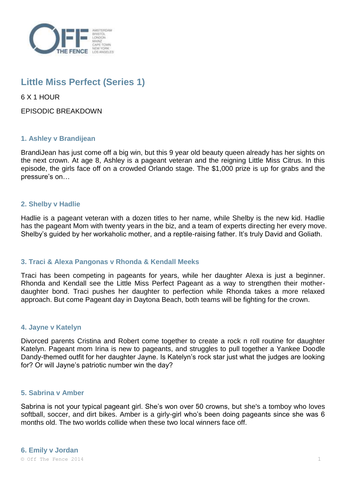

# **Little Miss Perfect (Series 1)**

6 X 1 HOUR

EPISODIC BREAKDOWN

## **1. Ashley v Brandijean**

BrandiJean has just come off a big win, but this 9 year old beauty queen already has her sights on the next crown. At age 8, Ashley is a pageant veteran and the reigning Little Miss Citrus. In this episode, the girls face off on a crowded Orlando stage. The \$1,000 prize is up for grabs and the pressure's on…

## **2. Shelby v Hadlie**

Hadlie is a pageant veteran with a dozen titles to her name, while Shelby is the new kid. Hadlie has the pageant Mom with twenty years in the biz, and a team of experts directing her every move. Shelby's guided by her workaholic mother, and a reptile-raising father. It's truly David and Goliath.

## **3. Traci & Alexa Pangonas v Rhonda & Kendall Meeks**

Traci has been competing in pageants for years, while her daughter Alexa is just a beginner. Rhonda and Kendall see the Little Miss Perfect Pageant as a way to strengthen their motherdaughter bond. Traci pushes her daughter to perfection while Rhonda takes a more relaxed approach. But come Pageant day in Daytona Beach, both teams will be fighting for the crown.

## **4. Jayne v Katelyn**

Divorced parents Cristina and Robert come together to create a rock n roll routine for daughter Katelyn. Pageant mom Irina is new to pageants, and struggles to pull together a Yankee Doodle Dandy-themed outfit for her daughter Jayne. Is Katelyn's rock star just what the judges are looking for? Or will Jayne's patriotic number win the day?

### **5. Sabrina v Amber**

Sabrina is not your typical pageant girl. She's won over 50 crowns, but she's a tomboy who loves softball, soccer, and dirt bikes. Amber is a girly-girl who's been doing pageants since she was 6 months old. The two worlds collide when these two local winners face off.